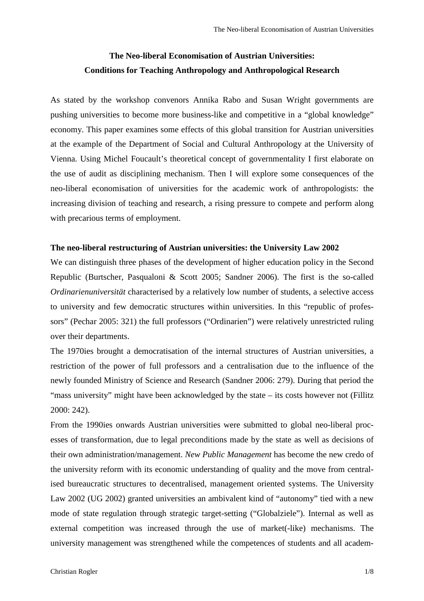# **The Neo-liberal Economisation of Austrian Universities: Conditions for Teaching Anthropology and Anthropological Research**

As stated by the workshop convenors Annika Rabo and Susan Wright governments are pushing universities to become more business-like and competitive in a "global knowledge" economy. This paper examines some effects of this global transition for Austrian universities at the example of the Department of Social and Cultural Anthropology at the University of Vienna. Using Michel Foucault's theoretical concept of governmentality I first elaborate on the use of audit as disciplining mechanism. Then I will explore some consequences of the neo-liberal economisation of universities for the academic work of anthropologists: the increasing division of teaching and research, a rising pressure to compete and perform along with precarious terms of employment.

### **The neo-liberal restructuring of Austrian universities: the University Law 2002**

We can distinguish three phases of the development of higher education policy in the Second Republic (Burtscher, Pasqualoni & Scott 2005; Sandner 2006). The first is the so-called *Ordinarienuniversität* characterised by a relatively low number of students, a selective access to university and few democratic structures within universities. In this "republic of professors" (Pechar 2005: 321) the full professors ("Ordinarien") were relatively unrestricted ruling over their departments.

The 1970ies brought a democratisation of the internal structures of Austrian universities, a restriction of the power of full professors and a centralisation due to the influence of the newly founded Ministry of Science and Research (Sandner 2006: 279). During that period the "mass university" might have been acknowledged by the state – its costs however not (Fillitz 2000: 242).

From the 1990ies onwards Austrian universities were submitted to global neo-liberal processes of transformation, due to legal preconditions made by the state as well as decisions of their own administration/management. *New Public Management* has become the new credo of the university reform with its economic understanding of quality and the move from centralised bureaucratic structures to decentralised, management oriented systems. The University Law 2002 (UG 2002) granted universities an ambivalent kind of "autonomy" tied with a new mode of state regulation through strategic target-setting ("Globalziele"). Internal as well as external competition was increased through the use of market(-like) mechanisms. The university management was strengthened while the competences of students and all academ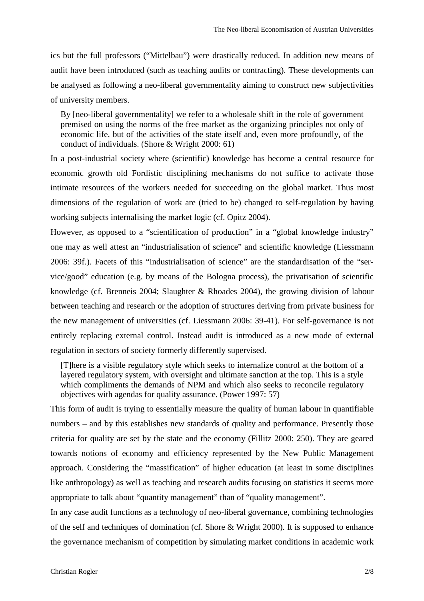ics but the full professors ("Mittelbau") were drastically reduced. In addition new means of audit have been introduced (such as teaching audits or contracting). These developments can be analysed as following a neo-liberal governmentality aiming to construct new subjectivities of university members.

By [neo-liberal governmentality] we refer to a wholesale shift in the role of government premised on using the norms of the free market as the organizing principles not only of economic life, but of the activities of the state itself and, even more profoundly, of the conduct of individuals. (Shore & Wright 2000: 61)

In a post-industrial society where (scientific) knowledge has become a central resource for economic growth old Fordistic disciplining mechanisms do not suffice to activate those intimate resources of the workers needed for succeeding on the global market. Thus most dimensions of the regulation of work are (tried to be) changed to self-regulation by having working subjects internalising the market logic (cf. Opitz 2004).

However, as opposed to a "scientification of production" in a "global knowledge industry" one may as well attest an "industrialisation of science" and scientific knowledge (Liessmann 2006: 39f.). Facets of this "industrialisation of science" are the standardisation of the "service/good" education (e.g. by means of the Bologna process), the privatisation of scientific knowledge (cf. Brenneis 2004; Slaughter & Rhoades 2004), the growing division of labour between teaching and research or the adoption of structures deriving from private business for the new management of universities (cf. Liessmann 2006: 39-41). For self-governance is not entirely replacing external control. Instead audit is introduced as a new mode of external regulation in sectors of society formerly differently supervised.

[T]here is a visible regulatory style which seeks to internalize control at the bottom of a layered regulatory system, with oversight and ultimate sanction at the top. This is a style which compliments the demands of NPM and which also seeks to reconcile regulatory objectives with agendas for quality assurance. (Power 1997: 57)

This form of audit is trying to essentially measure the quality of human labour in quantifiable numbers – and by this establishes new standards of quality and performance. Presently those criteria for quality are set by the state and the economy (Fillitz 2000: 250). They are geared towards notions of economy and efficiency represented by the New Public Management approach. Considering the "massification" of higher education (at least in some disciplines like anthropology) as well as teaching and research audits focusing on statistics it seems more appropriate to talk about "quantity management" than of "quality management".

In any case audit functions as a technology of neo-liberal governance, combining technologies of the self and techniques of domination (cf. Shore & Wright 2000). It is supposed to enhance the governance mechanism of competition by simulating market conditions in academic work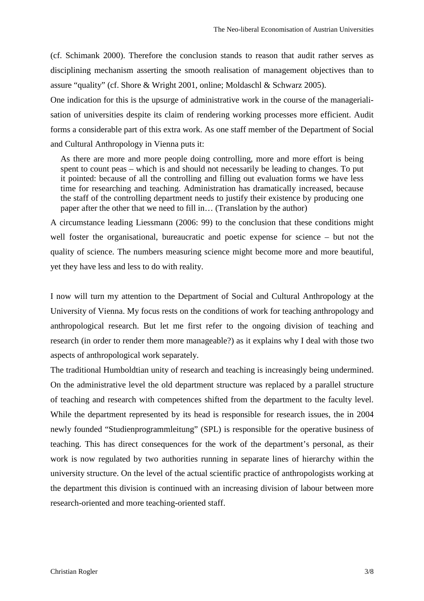(cf. Schimank 2000). Therefore the conclusion stands to reason that audit rather serves as disciplining mechanism asserting the smooth realisation of management objectives than to assure "quality" (cf. Shore & Wright 2001, online; Moldaschl & Schwarz 2005).

One indication for this is the upsurge of administrative work in the course of the managerialisation of universities despite its claim of rendering working processes more efficient. Audit forms a considerable part of this extra work. As one staff member of the Department of Social and Cultural Anthropology in Vienna puts it:

As there are more and more people doing controlling, more and more effort is being spent to count peas – which is and should not necessarily be leading to changes. To put it pointed: because of all the controlling and filling out evaluation forms we have less time for researching and teaching. Administration has dramatically increased, because the staff of the controlling department needs to justify their existence by producing one paper after the other that we need to fill in… (Translation by the author)

A circumstance leading Liessmann (2006: 99) to the conclusion that these conditions might well foster the organisational, bureaucratic and poetic expense for science – but not the quality of science. The numbers measuring science might become more and more beautiful, yet they have less and less to do with reality.

I now will turn my attention to the Department of Social and Cultural Anthropology at the University of Vienna. My focus rests on the conditions of work for teaching anthropology and anthropological research. But let me first refer to the ongoing division of teaching and research (in order to render them more manageable?) as it explains why I deal with those two aspects of anthropological work separately.

The traditional Humboldtian unity of research and teaching is increasingly being undermined. On the administrative level the old department structure was replaced by a parallel structure of teaching and research with competences shifted from the department to the faculty level. While the department represented by its head is responsible for research issues, the in 2004 newly founded "Studienprogrammleitung" (SPL) is responsible for the operative business of teaching. This has direct consequences for the work of the department's personal, as their work is now regulated by two authorities running in separate lines of hierarchy within the university structure. On the level of the actual scientific practice of anthropologists working at the department this division is continued with an increasing division of labour between more research-oriented and more teaching-oriented staff.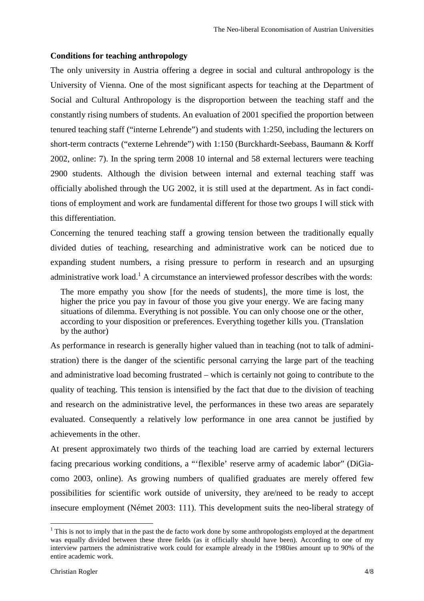### **Conditions for teaching anthropology**

The only university in Austria offering a degree in social and cultural anthropology is the University of Vienna. One of the most significant aspects for teaching at the Department of Social and Cultural Anthropology is the disproportion between the teaching staff and the constantly rising numbers of students. An evaluation of 2001 specified the proportion between tenured teaching staff ("interne Lehrende") and students with 1:250, including the lecturers on short-term contracts ("externe Lehrende") with 1:150 (Burckhardt-Seebass, Baumann & Korff 2002, online: 7). In the spring term 2008 10 internal and 58 external lecturers were teaching 2900 students. Although the division between internal and external teaching staff was officially abolished through the UG 2002, it is still used at the department. As in fact conditions of employment and work are fundamental different for those two groups I will stick with this differentiation.

Concerning the tenured teaching staff a growing tension between the traditionally equally divided duties of teaching, researching and administrative work can be noticed due to expanding student numbers, a rising pressure to perform in research and an upsurging administrative work load.<sup>1</sup> A circumstance an interviewed professor describes with the words:

The more empathy you show [for the needs of students], the more time is lost, the higher the price you pay in favour of those you give your energy. We are facing many situations of dilemma. Everything is not possible. You can only choose one or the other, according to your disposition or preferences. Everything together kills you. (Translation by the author)

As performance in research is generally higher valued than in teaching (not to talk of administration) there is the danger of the scientific personal carrying the large part of the teaching and administrative load becoming frustrated – which is certainly not going to contribute to the quality of teaching. This tension is intensified by the fact that due to the division of teaching and research on the administrative level, the performances in these two areas are separately evaluated. Consequently a relatively low performance in one area cannot be justified by achievements in the other.

At present approximately two thirds of the teaching load are carried by external lecturers facing precarious working conditions, a "'flexible' reserve army of academic labor" (DiGiacomo 2003, online). As growing numbers of qualified graduates are merely offered few possibilities for scientific work outside of university, they are/need to be ready to accept insecure employment (Német 2003: 111). This development suits the neo-liberal strategy of

 $\overline{a}$ 

 $1$ <sup>1</sup> This is not to imply that in the past the de facto work done by some anthropologists employed at the department was equally divided between these three fields (as it officially should have been). According to one of my interview partners the administrative work could for example already in the 1980ies amount up to 90% of the entire academic work.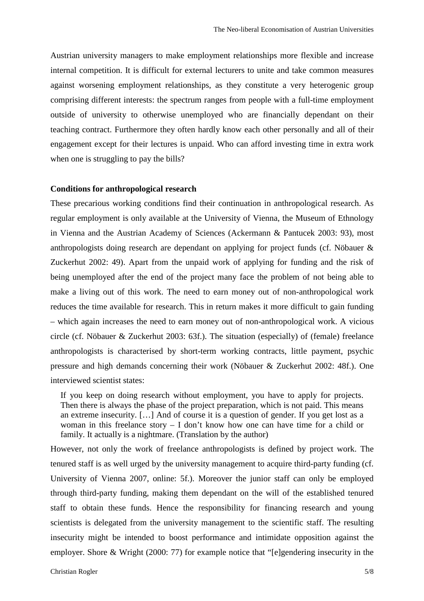Austrian university managers to make employment relationships more flexible and increase internal competition. It is difficult for external lecturers to unite and take common measures against worsening employment relationships, as they constitute a very heterogenic group comprising different interests: the spectrum ranges from people with a full-time employment outside of university to otherwise unemployed who are financially dependant on their teaching contract. Furthermore they often hardly know each other personally and all of their engagement except for their lectures is unpaid. Who can afford investing time in extra work when one is struggling to pay the bills?

#### **Conditions for anthropological research**

These precarious working conditions find their continuation in anthropological research. As regular employment is only available at the University of Vienna, the Museum of Ethnology in Vienna and the Austrian Academy of Sciences (Ackermann & Pantucek 2003: 93), most anthropologists doing research are dependant on applying for project funds (cf. Nöbauer & Zuckerhut 2002: 49). Apart from the unpaid work of applying for funding and the risk of being unemployed after the end of the project many face the problem of not being able to make a living out of this work. The need to earn money out of non-anthropological work reduces the time available for research. This in return makes it more difficult to gain funding – which again increases the need to earn money out of non-anthropological work. A vicious circle (cf. Nöbauer & Zuckerhut 2003: 63f.). The situation (especially) of (female) freelance anthropologists is characterised by short-term working contracts, little payment, psychic pressure and high demands concerning their work (Nöbauer & Zuckerhut 2002: 48f.). One interviewed scientist states:

If you keep on doing research without employment, you have to apply for projects. Then there is always the phase of the project preparation, which is not paid. This means an extreme insecurity. […] And of course it is a question of gender. If you get lost as a woman in this freelance story – I don't know how one can have time for a child or family. It actually is a nightmare. (Translation by the author)

However, not only the work of freelance anthropologists is defined by project work. The tenured staff is as well urged by the university management to acquire third-party funding (cf. University of Vienna 2007, online: 5f.). Moreover the junior staff can only be employed through third-party funding, making them dependant on the will of the established tenured staff to obtain these funds. Hence the responsibility for financing research and young scientists is delegated from the university management to the scientific staff. The resulting insecurity might be intended to boost performance and intimidate opposition against the employer. Shore & Wright (2000: 77) for example notice that "[e]gendering insecurity in the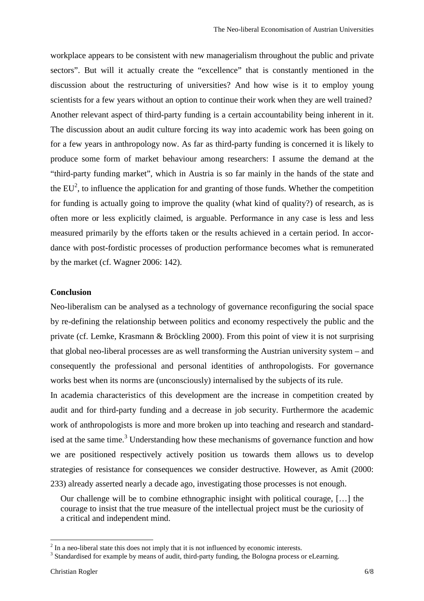workplace appears to be consistent with new managerialism throughout the public and private sectors". But will it actually create the "excellence" that is constantly mentioned in the discussion about the restructuring of universities? And how wise is it to employ young scientists for a few years without an option to continue their work when they are well trained? Another relevant aspect of third-party funding is a certain accountability being inherent in it. The discussion about an audit culture forcing its way into academic work has been going on for a few years in anthropology now. As far as third-party funding is concerned it is likely to produce some form of market behaviour among researchers: I assume the demand at the "third-party funding market", which in Austria is so far mainly in the hands of the state and the  $EU^2$ , to influence the application for and granting of those funds. Whether the competition for funding is actually going to improve the quality (what kind of quality?) of research, as is often more or less explicitly claimed, is arguable. Performance in any case is less and less measured primarily by the efforts taken or the results achieved in a certain period. In accordance with post-fordistic processes of production performance becomes what is remunerated by the market (cf. Wagner 2006: 142).

#### **Conclusion**

Neo-liberalism can be analysed as a technology of governance reconfiguring the social space by re-defining the relationship between politics and economy respectively the public and the private (cf. Lemke, Krasmann & Bröckling 2000). From this point of view it is not surprising that global neo-liberal processes are as well transforming the Austrian university system – and consequently the professional and personal identities of anthropologists. For governance works best when its norms are (unconsciously) internalised by the subjects of its rule.

In academia characteristics of this development are the increase in competition created by audit and for third-party funding and a decrease in job security. Furthermore the academic work of anthropologists is more and more broken up into teaching and research and standardised at the same time.<sup>3</sup> Understanding how these mechanisms of governance function and how we are positioned respectively actively position us towards them allows us to develop strategies of resistance for consequences we consider destructive. However, as Amit (2000: 233) already asserted nearly a decade ago, investigating those processes is not enough.

Our challenge will be to combine ethnographic insight with political courage, […] the courage to insist that the true measure of the intellectual project must be the curiosity of a critical and independent mind.

 $\overline{a}$ 

 $2<sup>2</sup>$  In a neo-liberal state this does not imply that it is not influenced by economic interests.

<sup>&</sup>lt;sup>3</sup> Standardised for example by means of audit, third-party funding, the Bologna process or eLearning.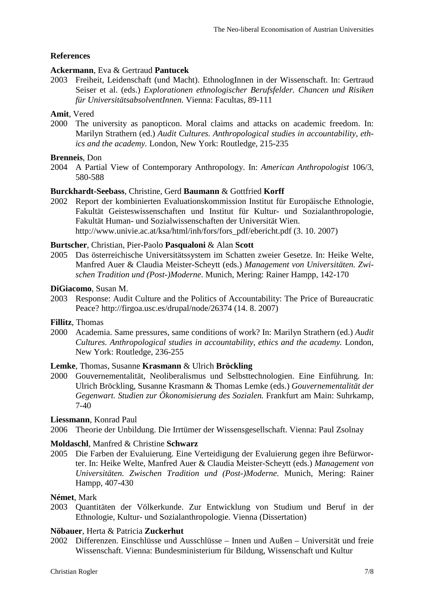# **References**

# **Ackermann**, Eva & Gertraud **Pantucek**

2003 Freiheit, Leidenschaft (und Macht). EthnologInnen in der Wissenschaft. In: Gertraud Seiser et al. (eds.) *Explorationen ethnologischer Berufsfelder. Chancen und Risiken für UniversitätsabsolventInnen.* Vienna: Facultas, 89-111

# **Amit**, Vered

2000 The university as panopticon. Moral claims and attacks on academic freedom. In: Marilyn Strathern (ed.) *Audit Cultures. Anthropological studies in accountability, ethics and the academy.* London, New York: Routledge, 215-235

# **Brenneis**, Don

2004 A Partial View of Contemporary Anthropology. In: *American Anthropologist* 106/3, 580-588

# **Burckhardt-Seebass**, Christine, Gerd **Baumann** & Gottfried **Korff**

2002 Report der kombinierten Evaluationskommission Institut für Europäische Ethnologie, Fakultät Geisteswissenschaften und Institut für Kultur- und Sozialanthropologie, Fakultät Human- und Sozialwissenschaften der Universität Wien. http://www.univie.ac.at/ksa/html/inh/fors/fors\_pdf/ebericht.pdf (3. 10. 2007)

# **Burtscher**, Christian, Pier-Paolo **Pasqualoni** & Alan **Scott**

2005 Das österreichische Universitätssystem im Schatten zweier Gesetze. In: Heike Welte, Manfred Auer & Claudia Meister-Scheytt (eds.) *Management von Universitäten. Zwischen Tradition und (Post-)Moderne*. Munich, Mering: Rainer Hampp, 142-170

### **DiGiacomo**, Susan M.

2003 Response: Audit Culture and the Politics of Accountability: The Price of Bureaucratic Peace? http://firgoa.usc.es/drupal/node/26374 (14. 8. 2007)

### **Fillitz**, Thomas

2000 Academia. Same pressures, same conditions of work? In: Marilyn Strathern (ed.) *Audit Cultures. Anthropological studies in accountability, ethics and the academy.* London, New York: Routledge, 236-255

# **Lemke**, Thomas, Susanne **Krasmann** & Ulrich **Bröckling**

2000 Gouvernementalität, Neoliberalismus und Selbsttechnologien. Eine Einführung. In: Ulrich Bröckling, Susanne Krasmann & Thomas Lemke (eds.) *Gouvernementalität der Gegenwart. Studien zur Ökonomisierung des Sozialen.* Frankfurt am Main: Suhrkamp, 7-40

### **Liessmann**, Konrad Paul

2006 Theorie der Unbildung. Die Irrtümer der Wissensgesellschaft. Vienna: Paul Zsolnay

# **Moldaschl**, Manfred & Christine **Schwarz**

2005 Die Farben der Evaluierung. Eine Verteidigung der Evaluierung gegen ihre Befürworter. In: Heike Welte, Manfred Auer & Claudia Meister-Scheytt (eds.) *Management von Universitäten. Zwischen Tradition und (Post-)Moderne*. Munich, Mering: Rainer Hampp, 407-430

# **Német**, Mark

2003 Quantitäten der Völkerkunde. Zur Entwicklung von Studium und Beruf in der Ethnologie, Kultur- und Sozialanthropologie. Vienna (Dissertation)

# **Nöbauer**, Herta & Patricia **Zuckerhut**

2002 Differenzen. Einschlüsse und Ausschlüsse – Innen und Außen – Universität und freie Wissenschaft. Vienna: Bundesministerium für Bildung, Wissenschaft und Kultur